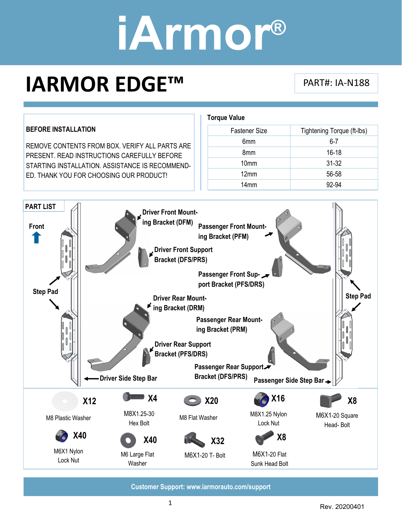### **IARMOR EDGE™** PART#: IA-N188

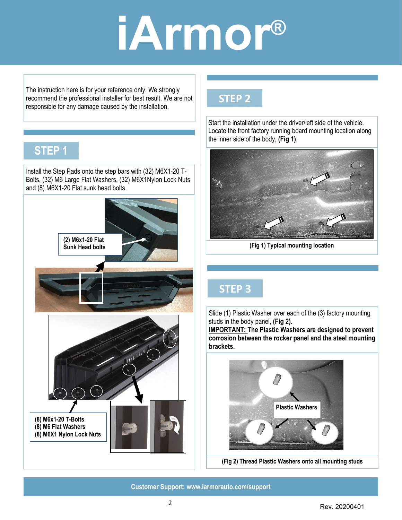The instruction here is for your reference only. We strongly recommend the professional installer for best result. We are not responsible for any damage caused by the installation.

### **STEP 1**

Install the Step Pads onto the step bars with (32) M6X1-20 T-Bolts, (32) M6 Large Flat Washers, (32) M6X1Nylon Lock Nuts and (8) M6X1-20 Flat sunk head bolts.



#### **STEP 2**

Start the installation under the driver/left side of the vehicle. Locate the front factory running board mounting location along the inner side of the body, **(Fig 1)**.



**(Fig 1) Typical mounting location** 

#### **STEP 3**

Slide (1) Plastic Washer over each of the (3) factory mounting studs in the body panel, **(Fig 2)**.

**IMPORTANT: The Plastic Washers are designed to prevent corrosion between the rocker panel and the steel mounting brackets.** 



**(Fig 2) Thread Plastic Washers onto all mounting studs**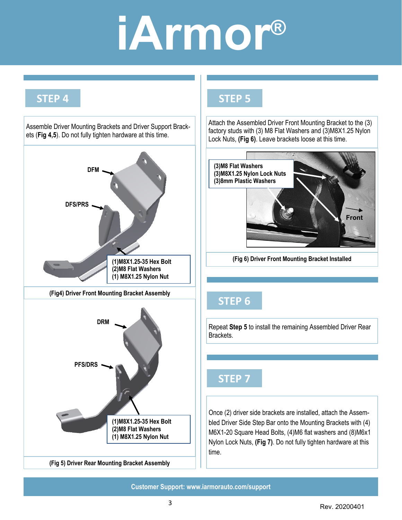### **STEP 4**



### **STEP 5**

Attach the Assembled Driver Front Mounting Bracket to the (3) factory studs with (3) M8 Flat Washers and (3)M8X1.25 Nylon Lock Nuts, **(Fig 6)**. Leave brackets loose at this time.



**(Fig 6) Driver Front Mounting Bracket Installed** 

### **STEP 6**

Repeat Step 5 to install the remaining Assembled Driver Rear Brackets.

### **STEP 7**

Once (2) driver side brackets are installed, attach the Assembled Driver Side Step Bar onto the Mounting Brackets with (4) M6X1-20 Square Head Bolts, (4)M6 flat washers and (8)M6x1 Nylon Lock Nuts, **(Fig 7)**. Do not fully tighten hardware at this time.